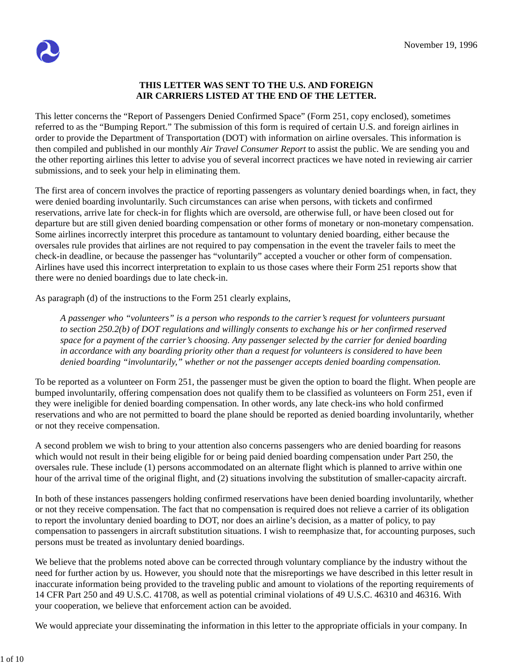## **THIS LETTER WAS SENT TO THE U.S. AND FOREIGN AIR CARRIERS LISTED AT THE END OF THE LETTER.**

This letter concerns the "Report of Passengers Denied Confirmed Space" (Form 251, copy enclosed), sometimes referred to as the "Bumping Report." The submission of this form is required of certain U.S. and foreign airlines in order to provide the Department of Transportation (DOT) with information on airline oversales. This information is then compiled and published in our monthly *Air Travel Consumer Report* to assist the public. We are sending you and the other reporting airlines this letter to advise you of several incorrect practices we have noted in reviewing air carrier submissions, and to seek your help in eliminating them.

The first area of concern involves the practice of reporting passengers as voluntary denied boardings when, in fact, they were denied boarding involuntarily. Such circumstances can arise when persons, with tickets and confirmed reservations, arrive late for check-in for flights which are oversold, are otherwise full, or have been closed out for departure but are still given denied boarding compensation or other forms of monetary or non-monetary compensation. Some airlines incorrectly interpret this procedure as tantamount to voluntary denied boarding, either because the oversales rule provides that airlines are not required to pay compensation in the event the traveler fails to meet the check-in deadline, or because the passenger has "voluntarily" accepted a voucher or other form of compensation. Airlines have used this incorrect interpretation to explain to us those cases where their Form 251 reports show that there were no denied boardings due to late check-in.

As paragraph (d) of the instructions to the Form 251 clearly explains,

*A passenger who "volunteers" is a person who responds to the carrier's request for volunteers pursuant to section 250.2(b) of DOT regulations and willingly consents to exchange his or her confirmed reserved space for a payment of the carrier's choosing. Any passenger selected by the carrier for denied boarding in accordance with any boarding priority other than a request for volunteers is considered to have been denied boarding "involuntarily," whether or not the passenger accepts denied boarding compensation.*

To be reported as a volunteer on Form 251, the passenger must be given the option to board the flight. When people are bumped involuntarily, offering compensation does not qualify them to be classified as volunteers on Form 251, even if they were ineligible for denied boarding compensation. In other words, any late check-ins who hold confirmed reservations and who are not permitted to board the plane should be reported as denied boarding involuntarily, whether or not they receive compensation.

A second problem we wish to bring to your attention also concerns passengers who are denied boarding for reasons which would not result in their being eligible for or being paid denied boarding compensation under Part 250, the oversales rule. These include (1) persons accommodated on an alternate flight which is planned to arrive within one hour of the arrival time of the original flight, and (2) situations involving the substitution of smaller-capacity aircraft.

In both of these instances passengers holding confirmed reservations have been denied boarding involuntarily, whether or not they receive compensation. The fact that no compensation is required does not relieve a carrier of its obligation to report the involuntary denied boarding to DOT, nor does an airline's decision, as a matter of policy, to pay compensation to passengers in aircraft substitution situations. I wish to reemphasize that, for accounting purposes, such persons must be treated as involuntary denied boardings.

We believe that the problems noted above can be corrected through voluntary compliance by the industry without the need for further action by us. However, you should note that the misreportings we have described in this letter result in inaccurate information being provided to the traveling public and amount to violations of the reporting requirements of 14 CFR Part 250 and 49 U.S.C. 41708, as well as potential criminal violations of 49 U.S.C. 46310 and 46316. With your cooperation, we believe that enforcement action can be avoided.

We would appreciate your disseminating the information in this letter to the appropriate officials in your company. In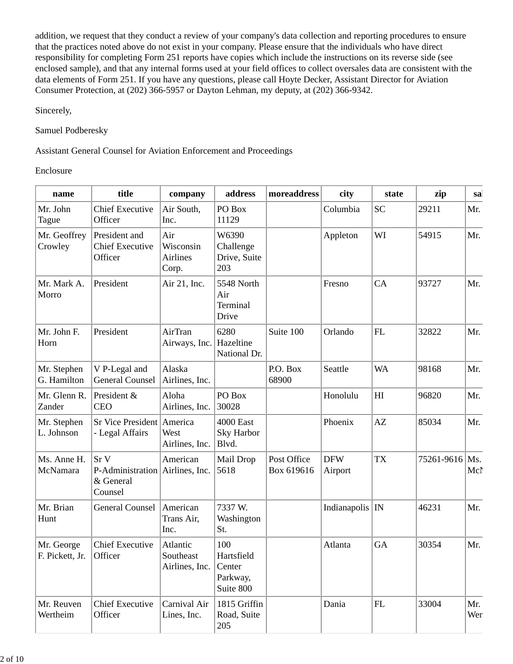addition, we request that they conduct a review of your company's data collection and reporting procedures to ensure that the practices noted above do not exist in your company. Please ensure that the individuals who have direct responsibility for completing Form 251 reports have copies which include the instructions on its reverse side (see enclosed sample), and that any internal forms used at your field offices to collect oversales data are consistent with the data elements of Form 251. If you have any questions, please call Hoyte Decker, Assistant Director for Aviation Consumer Protection, at (202) 366-5957 or Dayton Lehman, my deputy, at (202) 366-9342.

Sincerely,

Samuel Podberesky

Assistant General Counsel for Aviation Enforcement and Proceedings

Enclosure

| name                          | title                                                                      | company                                        | address                                    | moreaddress               | city                  | state      | zip        | sa         |
|-------------------------------|----------------------------------------------------------------------------|------------------------------------------------|--------------------------------------------|---------------------------|-----------------------|------------|------------|------------|
| Mr. John<br>Tague             | <b>Chief Executive</b><br>Officer                                          | Air South,<br>Inc.                             | PO Box<br>11129                            |                           | Columbia              | <b>SC</b>  | 29211      | Mr.        |
| Mr. Geoffrey<br>Crowley       | President and<br><b>Chief Executive</b><br>Officer                         | Air<br>Wisconsin<br>Airlines<br>Corp.          | W6390<br>Challenge<br>Drive, Suite<br>203  |                           | Appleton              | WI         | 54915      | Mr.        |
| Mr. Mark A.<br>Morro          | President                                                                  | Air 21, Inc.                                   | 5548 North<br>Air<br>Terminal<br>Drive     |                           | Fresno                | CA         | 93727      | Mr.        |
| Mr. John F.<br>Horn           | President                                                                  | AirTran<br>Airways, Inc.                       | 6280<br>Hazeltine<br>National Dr.          | Suite 100                 | Orlando               | FL         | 32822      | Mr.        |
| Mr. Stephen<br>G. Hamilton    | V P-Legal and<br><b>General Counsel</b>                                    | Alaska<br>Airlines, Inc.                       |                                            | P.O. Box<br>68900         | Seattle               | <b>WA</b>  | 98168      | Mr.        |
| Mr. Glenn R.<br>Zander        | President &<br><b>CEO</b>                                                  | Aloha<br>Airlines, Inc.                        | PO Box<br>30028                            |                           | Honolulu              | H          | 96820      | Mr.        |
| Mr. Stephen<br>L. Johnson     | Sr Vice President America<br>- Legal Affairs                               | West<br>Airlines, Inc.                         | 4000 East<br>Sky Harbor<br>Blvd.           |                           | Phoenix               | AZ         | 85034      | Mr.        |
| Ms. Anne H.<br>McNamara       | Sr <sub>V</sub><br>P-Administration Airlines, Inc.<br>& General<br>Counsel | American                                       | Mail Drop<br>5618                          | Post Office<br>Box 619616 | <b>DFW</b><br>Airport | <b>TX</b>  | 75261-9616 | Ms.<br>Mcl |
| Mr. Brian<br>Hunt             | <b>General Counsel</b>                                                     | American<br>Trans Air,<br>Inc.                 | 7337 W.<br>Washington<br>St.               |                           | Indianapolis   IN     |            | 46231      | Mr.        |
| Mr. George<br>F. Pickett, Jr. | <b>Chief Executive</b><br>Officer                                          | Atlantic<br>Southeast<br>Airlines, Inc. Center | 100<br>Hartsfield<br>Parkway,<br>Suite 800 |                           | Atlanta               | GA         | 30354      | Mr.        |
| Mr. Reuven<br>Wertheim        | <b>Chief Executive</b><br>Officer                                          | Carnival Air<br>Lines, Inc.                    | 1815 Griffin<br>Road, Suite<br>205         |                           | Dania                 | ${\rm FL}$ | 33004      | Mr.<br>Wer |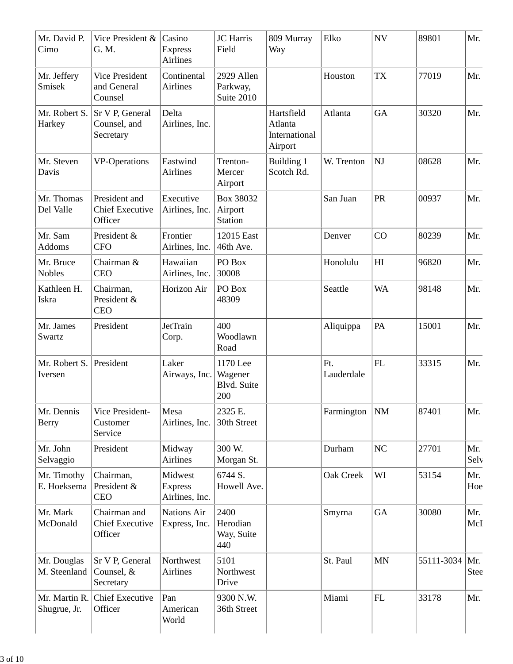| Mr. David P.<br>Cimo          | Vice President &<br>G. M.                          | Casino<br><b>Express</b><br><b>Airlines</b> | <b>JC</b> Harris<br>Field                 | 809 Murray<br>Way                                 | Elko              | $\ensuremath{\text{NV}}$ | 89801      | Mr.                |
|-------------------------------|----------------------------------------------------|---------------------------------------------|-------------------------------------------|---------------------------------------------------|-------------------|--------------------------|------------|--------------------|
| Mr. Jeffery<br>Smisek         | <b>Vice President</b><br>and General<br>Counsel    | Continental<br>Airlines                     | 2929 Allen<br>Parkway,<br>Suite 2010      |                                                   | Houston           | <b>TX</b>                | 77019      | Mr.                |
| Mr. Robert S.<br>Harkey       | Sr V P, General<br>Counsel, and<br>Secretary       | Delta<br>Airlines, Inc.                     |                                           | Hartsfield<br>Atlanta<br>International<br>Airport | Atlanta           | GA                       | 30320      | Mr.                |
| Mr. Steven<br>Davis           | <b>VP-Operations</b>                               | Eastwind<br>Airlines                        | Trenton-<br>Mercer<br>Airport             | Building 1<br>Scotch Rd.                          | W. Trenton        | NJ                       | 08628      | Mr.                |
| Mr. Thomas<br>Del Valle       | President and<br><b>Chief Executive</b><br>Officer | Executive<br>Airlines, Inc.                 | Box 38032<br>Airport<br><b>Station</b>    |                                                   | San Juan          | PR                       | 00937      | Mr.                |
| Mr. Sam<br>Addoms             | President &<br><b>CFO</b>                          | Frontier<br>Airlines, Inc.                  | 12015 East<br>46th Ave.                   |                                                   | Denver            | CO                       | 80239      | Mr.                |
| Mr. Bruce<br><b>Nobles</b>    | Chairman &<br><b>CEO</b>                           | Hawaiian<br>Airlines, Inc.                  | PO Box<br>30008                           |                                                   | Honolulu          | HI                       | 96820      | Mr.                |
| Kathleen H.<br>Iskra          | Chairman,<br>President &<br><b>CEO</b>             | Horizon Air                                 | PO Box<br>48309                           |                                                   | Seattle           | <b>WA</b>                | 98148      | Mr.                |
| Mr. James<br>Swartz           | President                                          | <b>JetTrain</b><br>Corp.                    | 400<br>Woodlawn<br>Road                   |                                                   | Aliquippa         | PA                       | 15001      | Mr.                |
| Mr. Robert S.<br>Iversen      | President                                          | Laker<br>Airways, Inc.                      | 1170 Lee<br>Wagener<br>Blvd. Suite<br>200 |                                                   | Ft.<br>Lauderdale | FL                       | 33315      | Mr.                |
| Mr. Dennis<br>Berry           | Vice President-<br>Customer<br>Service             | Mesa<br>Airlines, Inc.                      | 2325 E.<br>30th Street                    |                                                   | Farmington        | NM                       | 87401      | Mr.                |
| Mr. John<br>Selvaggio         | President                                          | Midway<br>Airlines                          | 300 W.<br>Morgan St.                      |                                                   | Durham            | NC                       | 27701      | Mr.<br>Selv        |
| Mr. Timothy<br>E. Hoeksema    | Chairman,<br>President &<br><b>CEO</b>             | Midwest<br><b>Express</b><br>Airlines, Inc. | 6744 S.<br>Howell Ave.                    |                                                   | Oak Creek         | WI                       | 53154      | Mr.<br>Hoe         |
| Mr. Mark<br>McDonald          | Chairman and<br><b>Chief Executive</b><br>Officer  | Nations Air<br>Express, Inc.                | 2400<br>Herodian<br>Way, Suite<br>440     |                                                   | Smyrna            | <b>GA</b>                | 30080      | Mr.<br>McI         |
| Mr. Douglas<br>M. Steenland   | Sr V P, General<br>Counsel, &<br>Secretary         | Northwest<br>Airlines                       | 5101<br>Northwest<br>Drive                |                                                   | St. Paul          | <b>MN</b>                | 55111-3034 | Mr.<br><b>Stee</b> |
| Mr. Martin R.<br>Shugrue, Jr. | <b>Chief Executive</b><br>Officer                  | Pan<br>American<br>World                    | 9300 N.W.<br>36th Street                  |                                                   | Miami             | ${\rm FL}$               | 33178      | Mr.                |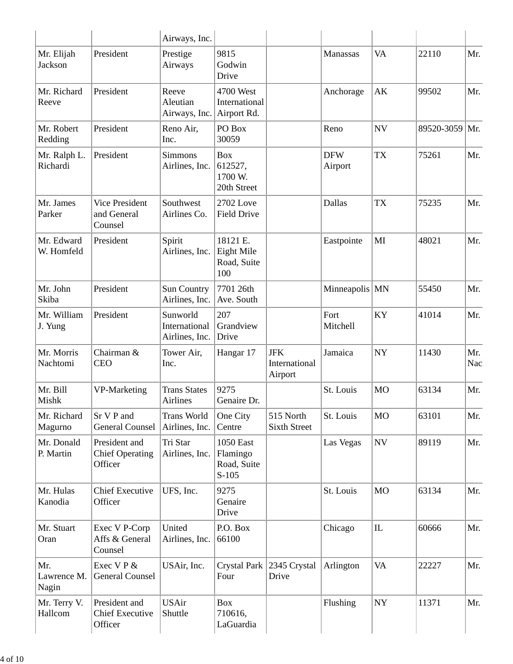|                              |                                                    | Airways, Inc.                               |                                                        |                                        |                       |                          |                |            |
|------------------------------|----------------------------------------------------|---------------------------------------------|--------------------------------------------------------|----------------------------------------|-----------------------|--------------------------|----------------|------------|
| Mr. Elijah<br><b>Jackson</b> | President                                          | Prestige<br>Airways                         | 9815<br>Godwin<br>Drive                                |                                        | Manassas              | <b>VA</b>                | 22110          | Mr.        |
| Mr. Richard<br>Reeve         | President                                          | Reeve<br>Aleutian<br>Airways, Inc.          | 4700 West<br>International<br>Airport Rd.              |                                        | Anchorage             | AK                       | 99502          | Mr.        |
| Mr. Robert<br>Redding        | President                                          | Reno Air,<br>Inc.                           | PO Box<br>30059                                        |                                        | Reno                  | <b>NV</b>                | 89520-3059 Mr. |            |
| Mr. Ralph L.<br>Richardi     | President                                          | <b>Simmons</b><br>Airlines, Inc.            | <b>Box</b><br>612527,<br>1700 W.<br>20th Street        |                                        | <b>DFW</b><br>Airport | <b>TX</b>                | 75261          | Mr.        |
| Mr. James<br>Parker          | <b>Vice President</b><br>and General<br>Counsel    | Southwest<br>Airlines Co.                   | 2702 Love<br><b>Field Drive</b>                        |                                        | Dallas                | <b>TX</b>                | 75235          | Mr.        |
| Mr. Edward<br>W. Homfeld     | President                                          | Spirit<br>Airlines, Inc.                    | 18121 E.<br>Eight Mile<br>Road, Suite<br>100           |                                        | Eastpointe            | MI                       | 48021          | Mr.        |
| Mr. John<br>Skiba            | President                                          | Sun Country<br>Airlines, Inc.               | 7701 26th<br>Ave. South                                |                                        | Minneapolis MN        |                          | 55450          | Mr.        |
| Mr. William<br>J. Yung       | President                                          | Sunworld<br>International<br>Airlines, Inc. | 207<br>Grandview<br>Drive                              |                                        | Fort<br>Mitchell      | KY                       | 41014          | Mr.        |
| Mr. Morris<br>Nachtomi       | Chairman &<br><b>CEO</b>                           | Tower Air,<br>Inc.                          | Hangar 17                                              | <b>JFK</b><br>International<br>Airport | Jamaica               | <b>NY</b>                | 11430          | Mr.<br>Nac |
| Mr. Bill<br>Mishk            | VP-Marketing                                       | <b>Trans States</b><br>Airlines             | 9275<br>Genaire Dr.                                    |                                        | St. Louis             | <b>MO</b>                | 63134          | Mr.        |
| Mr. Richard<br>Magurno       | Sr V P and<br><b>General Counsel</b>               | <b>Trans World</b><br>Airlines, Inc.        | One City<br>Centre                                     | 515 North<br><b>Sixth Street</b>       | St. Louis             | <b>MO</b>                | 63101          | Mr.        |
| Mr. Donald<br>P. Martin      | President and<br><b>Chief Operating</b><br>Officer | Tri Star<br>Airlines, Inc.                  | <b>1050 East</b><br>Flamingo<br>Road, Suite<br>$S-105$ |                                        | Las Vegas             | $\ensuremath{\text{NV}}$ | 89119          | Mr.        |
| Mr. Hulas<br>Kanodia         | <b>Chief Executive</b><br>Officer                  | UFS, Inc.                                   | 9275<br>Genaire<br>Drive                               |                                        | St. Louis             | <b>MO</b>                | 63134          | Mr.        |
| Mr. Stuart<br>Oran           | Exec V P-Corp<br>Affs & General<br>Counsel         | United<br>Airlines, Inc.                    | P.O. Box<br>66100                                      |                                        | Chicago               | $\rm IL$                 | 60666          | Mr.        |
| Mr.<br>Lawrence M.<br>Nagin  | Exec V P &<br><b>General Counsel</b>               | USAir, Inc.                                 | Crystal Park<br>Four                                   | 2345 Crystal<br>Drive                  | Arlington             | <b>VA</b>                | 22227          | Mr.        |
| Mr. Terry V.<br>Hallcom      | President and<br><b>Chief Executive</b><br>Officer | <b>USAir</b><br>Shuttle                     | <b>Box</b><br>710616,<br>LaGuardia                     |                                        | Flushing              | ${\rm NY}$               | 11371          | Mr.        |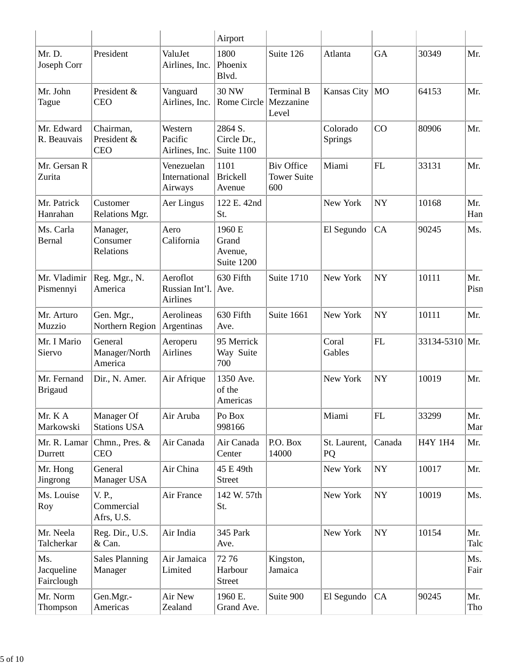|                                 |                                        |                                        | Airport                                  |                                                |                     |            |                |             |
|---------------------------------|----------------------------------------|----------------------------------------|------------------------------------------|------------------------------------------------|---------------------|------------|----------------|-------------|
| Mr. D.<br>Joseph Corr           | President                              | ValuJet<br>Airlines, Inc.              | 1800<br>Phoenix<br>Blvd.                 | Suite 126                                      | Atlanta             | <b>GA</b>  | 30349          | Mr.         |
| Mr. John<br>Tague               | President &<br><b>CEO</b>              | Vanguard<br>Airlines, Inc.             | <b>30 NW</b><br>Rome Circle              | <b>Terminal B</b><br>Mezzanine<br>Level        | Kansas City         | <b>MO</b>  | 64153          | Mr.         |
| Mr. Edward<br>R. Beauvais       | Chairman,<br>President &<br><b>CEO</b> | Western<br>Pacific<br>Airlines, Inc.   | 2864 S.<br>Circle Dr.,<br>Suite 1100     |                                                | Colorado<br>Springs | CO         | 80906          | Mr.         |
| Mr. Gersan R<br>Zurita          |                                        | Venezuelan<br>International<br>Airways | 1101<br><b>Brickell</b><br>Avenue        | <b>Biv Office</b><br><b>Tower Suite</b><br>600 | Miami               | FL         | 33131          | Mr.         |
| Mr. Patrick<br>Hanrahan         | Customer<br>Relations Mgr.             | Aer Lingus                             | 122 E. 42nd<br>St.                       |                                                | New York            | <b>NY</b>  | 10168          | Mr.<br>Han  |
| Ms. Carla<br>Bernal             | Manager,<br>Consumer<br>Relations      | Aero<br>California                     | 1960 E<br>Grand<br>Avenue,<br>Suite 1200 |                                                | El Segundo          | CA         | 90245          | Ms.         |
| Mr. Vladimir<br>Pismennyi       | Reg. Mgr., N.<br>America               | Aeroflot<br>Russian Int'l.<br>Airlines | 630 Fifth<br>Ave.                        | Suite 1710                                     | New York            | <b>NY</b>  | 10111          | Mr.<br>Pisn |
| Mr. Arturo<br>Muzzio            | Gen. Mgr.,<br>Northern Region          | Aerolineas<br>Argentinas               | 630 Fifth<br>Ave.                        | Suite 1661                                     | New York            | <b>NY</b>  | 10111          | Mr.         |
| Mr. I Mario<br>Siervo           | General<br>Manager/North<br>America    | Aeroperu<br><b>Airlines</b>            | 95 Merrick<br>Way Suite<br>700           |                                                | Coral<br>Gables     | FL         | 33134-5310 Mr. |             |
| Mr. Fernand<br><b>Brigaud</b>   | Dir., N. Amer.                         | Air Afrique                            | 1350 Ave.<br>of the<br>Americas          |                                                | New York            | <b>NY</b>  | 10019          | Mr.         |
| Mr. KA<br>Markowski             | Manager Of<br><b>Stations USA</b>      | Air Aruba                              | Po Box<br>998166                         |                                                | Miami               | ${\rm FL}$ | 33299          | Mr.<br>Mar  |
| Mr. R. Lamar<br>Durrett         | Chmn., Pres. &<br><b>CEO</b>           | Air Canada                             | Air Canada<br>Center                     | P.O. Box<br>14000                              | St. Laurent,<br>PQ  | Canada     | <b>H4Y 1H4</b> | Mr.         |
| Mr. Hong<br>Jingrong            | General<br>Manager USA                 | Air China                              | 45 E 49th<br><b>Street</b>               |                                                | New York            | ${\rm NY}$ | 10017          | Mr.         |
| Ms. Louise<br>Roy               | V. P.,<br>Commercial<br>Afrs, U.S.     | Air France                             | 142 W. 57th<br>St.                       |                                                | New York            | ${\rm NY}$ | 10019          | Ms.         |
| Mr. Neela<br>Talcherkar         | Reg. Dir., U.S.<br>& Can.              | Air India                              | 345 Park<br>Ave.                         |                                                | New York            | ${\bf NY}$ | 10154          | Mr.<br>Talc |
| Ms.<br>Jacqueline<br>Fairclough | <b>Sales Planning</b><br>Manager       | Air Jamaica<br>Limited                 | 7276<br>Harbour<br><b>Street</b>         | Kingston,<br>Jamaica                           |                     |            |                | Ms.<br>Fair |
| Mr. Norm<br>Thompson            | Gen.Mgr.-<br>Americas                  | Air New<br>Zealand                     | 1960 E.<br>Grand Ave.                    | Suite 900                                      | El Segundo          | CA         | 90245          | Mr.<br>Tho  |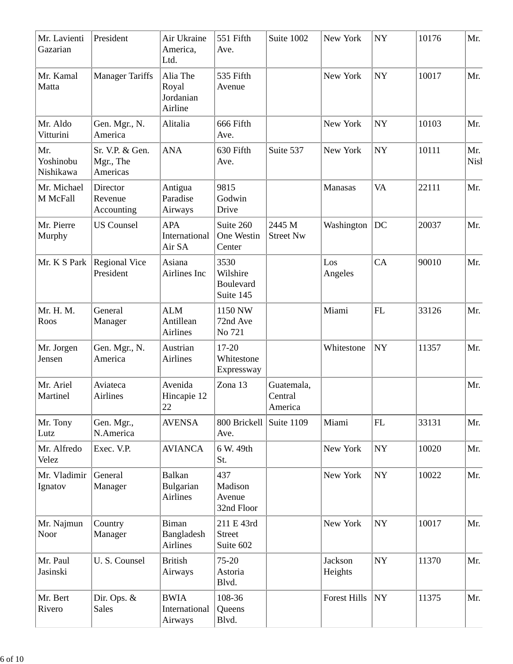| Mr. Lavienti<br>Gazarian      | President                                | Air Ukraine<br>America,<br>Ltd.               | 551 Fifth<br>Ave.                          | Suite 1002                       | New York            | <b>NY</b>   | 10176 | Mr.                |
|-------------------------------|------------------------------------------|-----------------------------------------------|--------------------------------------------|----------------------------------|---------------------|-------------|-------|--------------------|
| Mr. Kamal<br>Matta            | <b>Manager Tariffs</b>                   | Alia The<br>Royal<br>Jordanian<br>Airline     | 535 Fifth<br>Avenue                        |                                  | New York            | ${\rm NY}$  | 10017 | Mr.                |
| Mr. Aldo<br>Vitturini         | Gen. Mgr., N.<br>America                 | Alitalia                                      | 666 Fifth<br>Ave.                          |                                  | New York            | <b>NY</b>   | 10103 | Mr.                |
| Mr.<br>Yoshinobu<br>Nishikawa | Sr. V.P. & Gen.<br>Mgr., The<br>Americas | <b>ANA</b>                                    | 630 Fifth<br>Ave.                          | Suite 537                        | New York            | <b>NY</b>   | 10111 | Mr.<br><b>Nish</b> |
| Mr. Michael<br>M McFall       | Director<br>Revenue<br>Accounting        | Antigua<br>Paradise<br>Airways                | 9815<br>Godwin<br>Drive                    |                                  | Manasas             | <b>VA</b>   | 22111 | Mr.                |
| Mr. Pierre<br>Murphy          | <b>US</b> Counsel                        | <b>APA</b><br>International<br>Air SA         | Suite 260<br>One Westin<br>Center          | 2445 M<br><b>Street Nw</b>       | Washington          | DC          | 20037 | Mr.                |
| Mr. K S Park                  | <b>Regional Vice</b><br>President        | Asiana<br>Airlines Inc                        | 3530<br>Wilshire<br>Boulevard<br>Suite 145 |                                  | Los<br>Angeles      | CA          | 90010 | Mr.                |
| Mr. H. M.<br>Roos             | General<br>Manager                       | <b>ALM</b><br>Antillean<br><b>Airlines</b>    | 1150 NW<br>72nd Ave<br>No 721              |                                  | Miami               | FL          | 33126 | Mr.                |
| Mr. Jorgen<br>Jensen          | Gen. Mgr., N.<br>America                 | Austrian<br>Airlines                          | 17-20<br>Whitestone<br>Expressway          |                                  | Whitestone          | <b>NY</b>   | 11357 | Mr.                |
| Mr. Ariel<br>Martinel         | Aviateca<br><b>Airlines</b>              | Avenida<br>Hincapie 12<br>22                  | Zona 13                                    | Guatemala,<br>Central<br>America |                     |             |       | Mr.                |
| Mr. Tony<br>Lutz              | Gen. Mgr.,<br>N.America                  | <b>AVENSA</b>                                 | 800 Brickell<br>Ave.                       | Suite 1109                       | Miami               | FL          | 33131 | Mr.                |
| Mr. Alfredo<br>Velez          | Exec. V.P.                               | <b>AVIANCA</b>                                | 6 W. 49th<br>St.                           |                                  | New York            | ${\bf NY}$  | 10020 | Mr.                |
| Mr. Vladimir<br>Ignatov       | General<br>Manager                       | Balkan<br>Bulgarian<br><b>Airlines</b>        | 437<br>Madison<br>Avenue<br>32nd Floor     |                                  | New York            | $\bold{NY}$ | 10022 | Mr.                |
| Mr. Najmun<br>Noor            | Country<br>Manager                       | <b>Biman</b><br>Bangladesh<br><b>Airlines</b> | 211 E 43rd<br><b>Street</b><br>Suite 602   |                                  | New York            | NY          | 10017 | Mr.                |
| Mr. Paul<br>Jasinski          | U.S. Counsel                             | <b>British</b><br>Airways                     | 75-20<br>Astoria<br>Blvd.                  |                                  | Jackson<br>Heights  | $\bold{NY}$ | 11370 | Mr.                |
| Mr. Bert<br>Rivero            | Dir. Ops. &<br><b>Sales</b>              | <b>BWIA</b><br>International<br>Airways       | 108-36<br>Queens<br>Blvd.                  |                                  | <b>Forest Hills</b> | $\bold{NY}$ | 11375 | Mr.                |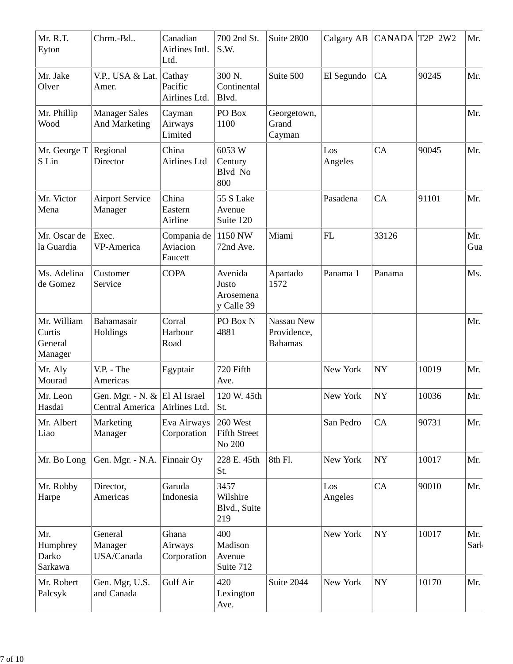| Mr. R.T.<br>Eyton                           | Chrm.-Bd                                                            | Canadian<br>Airlines Intl.<br>Ltd. | 700 2nd St.<br>S.W.                         | Suite 2800                                  | Calgary AB     | CANADA     | T2P 2W2 | Mr.         |
|---------------------------------------------|---------------------------------------------------------------------|------------------------------------|---------------------------------------------|---------------------------------------------|----------------|------------|---------|-------------|
| Mr. Jake<br>Olver                           | V.P., USA & Lat.<br>Amer.                                           | Cathay<br>Pacific<br>Airlines Ltd. | 300 N.<br>Continental<br>Blvd.              | Suite 500                                   | El Segundo     | CA         | 90245   | Mr.         |
| Mr. Phillip<br>Wood                         | <b>Manager Sales</b><br><b>And Marketing</b>                        | Cayman<br>Airways<br>Limited       | PO Box<br>1100                              | Georgetown,<br>Grand<br>Cayman              |                |            |         | Mr.         |
| Mr. George T<br>S Lin                       | Regional<br>Director                                                | China<br><b>Airlines Ltd</b>       | 6053W<br>Century<br>Blvd No<br>800          |                                             | Los<br>Angeles | CA         | 90045   | Mr.         |
| Mr. Victor<br>Mena                          | <b>Airport Service</b><br>Manager                                   | China<br>Eastern<br>Airline        | 55 S Lake<br>Avenue<br>Suite 120            |                                             | Pasadena       | CA         | 91101   | Mr.         |
| Mr. Oscar de<br>la Guardia                  | Exec.<br>VP-America                                                 | Compania de<br>Aviacion<br>Faucett | 1150 NW<br>72nd Ave.                        | Miami                                       | FL             | 33126      |         | Mr.<br>Gua  |
| Ms. Adelina<br>de Gomez                     | Customer<br>Service                                                 | <b>COPA</b>                        | Avenida<br>Justo<br>Arosemena<br>y Calle 39 | Apartado<br>1572                            | Panama 1       | Panama     |         | Ms.         |
| Mr. William<br>Curtis<br>General<br>Manager | Bahamasair<br>Holdings                                              | Corral<br>Harbour<br>Road          | PO Box N<br>4881                            | Nassau New<br>Providence,<br><b>Bahamas</b> |                |            |         | Mr.         |
| Mr. Aly<br>Mourad                           | V.P. - The<br>Americas                                              | Egyptair                           | 720 Fifth<br>Ave.                           |                                             | New York       | NY         | 10019   | Mr.         |
| Mr. Leon<br>Hasdai                          | Gen. Mgr. - N. $\&$ El Al Israel<br>Central America   Airlines Ltd. |                                    | 120 W. 45th<br>St.                          |                                             | New York       | <b>NY</b>  | 10036   | Mr.         |
| Mr. Albert<br>Liao                          | Marketing<br>Manager                                                | Eva Airways<br>Corporation         | 260 West<br><b>Fifth Street</b><br>No 200   |                                             | San Pedro      | CA         | 90731   | Mr.         |
| Mr. Bo Long                                 | Gen. Mgr. - N.A.                                                    | Finnair Oy                         | 228 E. 45th<br>St.                          | 8th Fl.                                     | New York       | ${\bf NY}$ | 10017   | Mr.         |
| Mr. Robby<br>Harpe                          | Director,<br>Americas                                               | Garuda<br>Indonesia                | 3457<br>Wilshire<br>Blvd., Suite<br>219     |                                             | Los<br>Angeles | CA         | 90010   | Mr.         |
| Mr.<br>Humphrey<br>Darko<br>Sarkawa         | General<br>Manager<br>USA/Canada                                    | Ghana<br>Airways<br>Corporation    | 400<br>Madison<br>Avenue<br>Suite 712       |                                             | New York       | ${\bf NY}$ | 10017   | Mr.<br>Sark |
| Mr. Robert<br>Palcsyk                       | Gen. Mgr, U.S.<br>and Canada                                        | Gulf Air                           | 420<br>Lexington<br>Ave.                    | Suite 2044                                  | New York       | ${\bf NY}$ | 10170   | Mr.         |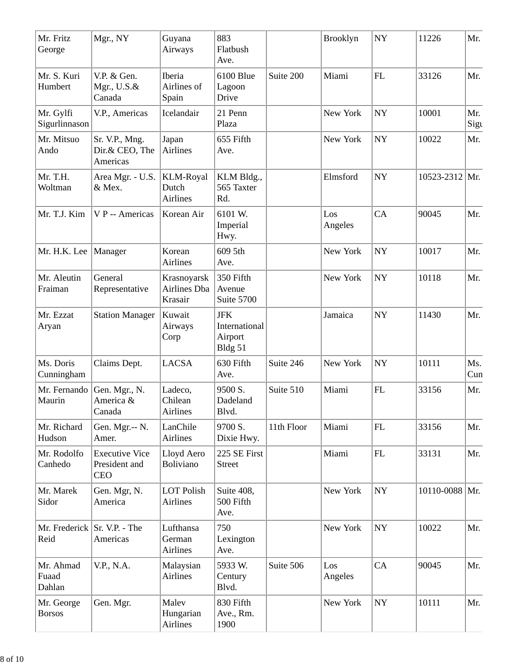| Mr. Fritz<br>George          | Mgr., NY                                             | Guyana<br>Airways                            | 883<br>Flatbush<br>Ave.                           |            | Brooklyn       | <b>NY</b>  | 11226      | Mr.         |
|------------------------------|------------------------------------------------------|----------------------------------------------|---------------------------------------------------|------------|----------------|------------|------------|-------------|
| Mr. S. Kuri<br>Humbert       | V.P. & Gen.<br>Mgr., $U.S.\&$<br>Canada              | Iberia<br>Airlines of<br>Spain               | 6100 Blue<br>Lagoon<br>Drive                      | Suite 200  | Miami          | FL         | 33126      | Mr.         |
| Mr. Gylfi<br>Sigurlinnason   | V.P., Americas                                       | Icelandair                                   | 21 Penn<br>Plaza                                  |            | New York       | <b>NY</b>  | 10001      | Mr.<br>Sigt |
| Mr. Mitsuo<br>Ando           | Sr. V.P., Mng.<br>Dir.& CEO, The<br>Americas         | Japan<br><b>Airlines</b>                     | 655 Fifth<br>Ave.                                 |            | New York       | <b>NY</b>  | 10022      | Mr.         |
| Mr. T.H.<br>Woltman          | Area Mgr. - U.S.<br>& Mex.                           | <b>KLM-Royal</b><br>Dutch<br><b>Airlines</b> | KLM Bldg.,<br>565 Taxter<br>Rd.                   |            | Elmsford       | <b>NY</b>  | 10523-2312 | Mr.         |
| Mr. T.J. Kim                 | V P -- Americas                                      | Korean Air                                   | 6101 W.<br>Imperial<br>Hwy.                       |            | Los<br>Angeles | CA         | 90045      | Mr.         |
| Mr. H.K. Lee                 | Manager                                              | Korean<br><b>Airlines</b>                    | 609 5th<br>Ave.                                   |            | New York       | <b>NY</b>  | 10017      | Mr.         |
| Mr. Aleutin<br>Fraiman       | General<br>Representative                            | Krasnoyarsk<br>Airlines Dba<br>Krasair       | 350 Fifth<br>Avenue<br>Suite 5700                 |            | New York       | <b>NY</b>  | 10118      | Mr.         |
| Mr. Ezzat<br>Aryan           | <b>Station Manager</b>                               | Kuwait<br>Airways<br>Corp                    | <b>JFK</b><br>International<br>Airport<br>Bldg 51 |            | Jamaica        | <b>NY</b>  | 11430      | Mr.         |
| Ms. Doris<br>Cunningham      | Claims Dept.                                         | <b>LACSA</b>                                 | 630 Fifth<br>Ave.                                 | Suite 246  | New York       | <b>NY</b>  | 10111      | Ms.<br>Cun  |
| Mr. Fernando<br>Maurin       | Gen. Mgr., N.<br>America &<br>Canada                 | Ladeco,<br>Chilean<br>Airlines               | 9500 S.<br>Dadeland<br>Blvd.                      | Suite 510  | Miami          | FL         | 33156      | Mr.         |
| Mr. Richard<br>Hudson        | Gen. Mgr.-- N.<br>Amer.                              | LanChile<br><b>Airlines</b>                  | 9700 S.<br>Dixie Hwy.                             | 11th Floor | Miami          | FL         | 33156      | Mr.         |
| Mr. Rodolfo<br>Canhedo       | <b>Executive Vice</b><br>President and<br><b>CEO</b> | Lloyd Aero<br>Boliviano                      | 225 SE First<br><b>Street</b>                     |            | Miami          | ${\rm FL}$ | 33131      | Mr.         |
| Mr. Marek<br>Sidor           | Gen. Mgr, N.<br>America                              | <b>LOT Polish</b><br><b>Airlines</b>         | Suite 408,<br>500 Fifth<br>Ave.                   |            | New York       | <b>NY</b>  | 10110-0088 | Mr.         |
| Mr. Frederick  <br>Reid      | Sr. V.P. - The<br>Americas                           | Lufthansa<br>German<br><b>Airlines</b>       | 750<br>Lexington<br>Ave.                          |            | New York       | <b>NY</b>  | 10022      | Mr.         |
| Mr. Ahmad<br>Fuaad<br>Dahlan | V.P., N.A.                                           | Malaysian<br>Airlines                        | 5933 W.<br>Century<br>Blvd.                       | Suite 506  | Los<br>Angeles | CA         | 90045      | Mr.         |
| Mr. George<br><b>Borsos</b>  | Gen. Mgr.                                            | Malev<br>Hungarian<br>Airlines               | 830 Fifth<br>Ave., Rm.<br>1900                    |            | New York       | <b>NY</b>  | 10111      | Mr.         |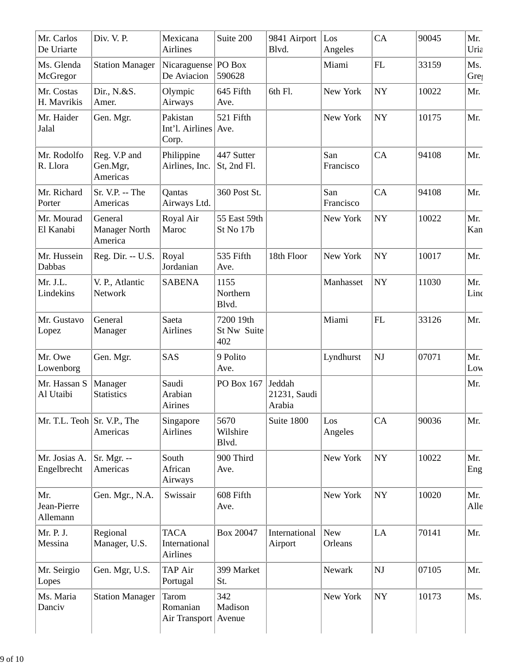| Mr. Carlos<br>De Uriarte            | Div. V. P.                                 | Mexicana<br><b>Airlines</b>                     | Suite 200                       | 9841 Airport<br>Blvd.            | Los<br>Angeles        | CA                     | 90045 | Mr.<br>Uria             |
|-------------------------------------|--------------------------------------------|-------------------------------------------------|---------------------------------|----------------------------------|-----------------------|------------------------|-------|-------------------------|
| Ms. Glenda<br>McGregor              | <b>Station Manager</b>                     | Nicaraguense   PO Box<br>De Aviacion            | 590628                          |                                  | Miami                 | ${\rm FL}$             | 33159 | Ms.<br>Gre <sub>!</sub> |
| Mr. Costas<br>H. Mavrikis           | Dir., N.&S.<br>Amer.                       | Olympic<br>Airways                              | 645 Fifth<br>Ave.               | 6th Fl.                          | New York              | <b>NY</b>              | 10022 | Mr.                     |
| Mr. Haider<br>Jalal                 | Gen. Mgr.                                  | Pakistan<br>Int'l. Airlines   Ave.<br>Corp.     | 521 Fifth                       |                                  | New York              | <b>NY</b>              | 10175 | Mr.                     |
| Mr. Rodolfo<br>R. Llora             | Reg. V.P and<br>Gen.Mgr,<br>Americas       | Philippine<br>Airlines, Inc.                    | 447 Sutter<br>St, 2nd Fl.       |                                  | San<br>Francisco      | CA                     | 94108 | Mr.                     |
| Mr. Richard<br>Porter               | Sr. V.P. -- The<br>Americas                | Qantas<br>Airways Ltd.                          | 360 Post St.                    |                                  | San<br>Francisco      | CA                     | 94108 | Mr.                     |
| Mr. Mourad<br>El Kanabi             | General<br><b>Manager North</b><br>America | Royal Air<br>Maroc                              | 55 East 59th<br>St No 17b       |                                  | New York              | <b>NY</b>              | 10022 | Mr.<br>Kan              |
| Mr. Hussein<br>Dabbas               | Reg. Dir. -- U.S.                          | Royal<br>Jordanian                              | 535 Fifth<br>Ave.               | 18th Floor                       | New York              | <b>NY</b>              | 10017 | Mr.                     |
| Mr. J.L.<br>Lindekins               | V. P., Atlantic<br>Network                 | <b>SABENA</b>                                   | 1155<br>Northern<br>Blvd.       |                                  | Manhasset             | $\bold{NY}$            | 11030 | Mr.<br>Linc             |
| Mr. Gustavo<br>Lopez                | General<br>Manager                         | Saeta<br><b>Airlines</b>                        | 7200 19th<br>St Nw Suite<br>402 |                                  | Miami                 | ${\rm FL}$             | 33126 | Mr.                     |
| Mr. Owe<br>Lowenborg                | Gen. Mgr.                                  | <b>SAS</b>                                      | 9 Polito<br>Ave.                |                                  | Lyndhurst             | $\mathbf{N}\mathbf{J}$ | 07071 | Mr.<br>Low              |
| Mr. Hassan S<br>Al Utaibi           | Manager<br><b>Statistics</b>               | Saudi<br>Arabian<br>Airines                     | PO Box 167                      | Jeddah<br>21231, Saudi<br>Arabia |                       |                        |       | Mr.                     |
| Mr. T.L. Teoh $\vert$ Sr. V.P., The | Americas                                   | Singapore<br><b>Airlines</b>                    | 5670<br>Wilshire<br>Blvd.       | Suite 1800                       | Los<br>Angeles        | CA                     | 90036 | Mr.                     |
| Mr. Josias A.<br>Engelbrecht        | Sr. Mgr. --<br>Americas                    | South<br>African<br>Airways                     | 900 Third<br>Ave.               |                                  | New York              | ${\rm NY}$             | 10022 | Mr.<br>Eng              |
| Mr.<br>Jean-Pierre<br>Allemann      | Gen. Mgr., N.A.                            | Swissair                                        | 608 Fifth<br>Ave.               |                                  | New York              | ${\rm NY}$             | 10020 | Mr.<br>Alle             |
| Mr. P. J.<br>Messina                | Regional<br>Manager, U.S.                  | <b>TACA</b><br>International<br><b>Airlines</b> | Box 20047                       | International<br>Airport         | <b>New</b><br>Orleans | LA                     | 70141 | Mr.                     |
| Mr. Seirgio<br>Lopes                | Gen. Mgr, U.S.                             | <b>TAP Air</b><br>Portugal                      | 399 Market<br>St.               |                                  | Newark                | $\mathbf{N}\mathbf{J}$ | 07105 | Mr.                     |
| Ms. Maria<br>Danciv                 | <b>Station Manager</b>                     | Tarom<br>Romanian<br>Air Transport   Avenue     | 342<br>Madison                  |                                  | New York              | NY                     | 10173 | Ms.                     |